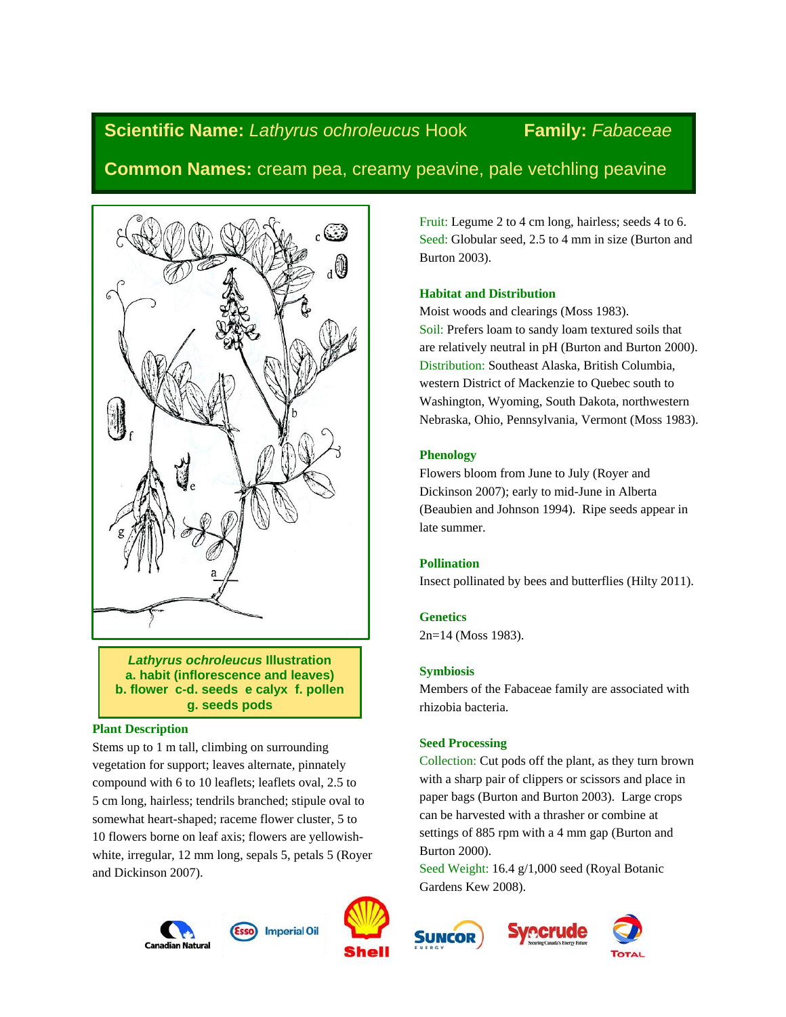# **Scientific Name:** *Lathyrus ochroleucus* Hook **Family:** *Fabaceae*

# **Common Names:** cream pea, creamy peavine, pale vetchling peavine



*Lathyrus ochroleucus* **Illustration a. habit (inflorescence and leaves) b. flower c-d. seeds e calyx f. pollen g. seeds pods**

# **Plant Description**

Stems up to 1 m tall, climbing on surrounding vegetation for support; leaves alternate, pinnately compound with 6 to 10 leaflets; leaflets oval, 2.5 to 5 cm long, hairless; tendrils branched; stipule oval to somewhat heart-shaped; raceme flower cluster, 5 to 10 flowers borne on leaf axis; flowers are yellowishwhite, irregular, 12 mm long, sepals 5, petals 5 (Royer and Dickinson 2007).

**Canadian Natura** 



Fruit: Legume 2 to 4 cm long, hairless; seeds 4 to 6. Seed: Globular seed, 2.5 to 4 mm in size (Burton and Burton 2003).

# **Habitat and Distribution**

Moist woods and clearings (Moss 1983). Soil: Prefers loam to sandy loam textured soils that are relatively neutral in pH (Burton and Burton 2000). Distribution: Southeast Alaska, British Columbia, western District of Mackenzie to Quebec south to Washington, Wyoming, South Dakota, northwestern Nebraska, Ohio, Pennsylvania, Vermont (Moss 1983).

# **Phenology**

Flowers bloom from June to July (Royer and Dickinson 2007); early to mid-June in Alberta (Beaubien and Johnson 1994). Ripe seeds appear in late summer.

# **Pollination**

Insect pollinated by bees and butterflies (Hilty 2011).

# **Genetics**

2n=14 (Moss 1983).

# **Symbiosis**

Members of the Fabaceae family are associated with rhizobia bacteria.

# **Seed Processing**

Collection: Cut pods off the plant, as they turn brown with a sharp pair of clippers or scissors and place in paper bags (Burton and Burton 2003). Large crops can be harvested with a thrasher or combine at settings of 885 rpm with a 4 mm gap (Burton and Burton 2000).

Seed Weight: 16.4 g/1,000 seed (Royal Botanic Gardens Kew 2008).





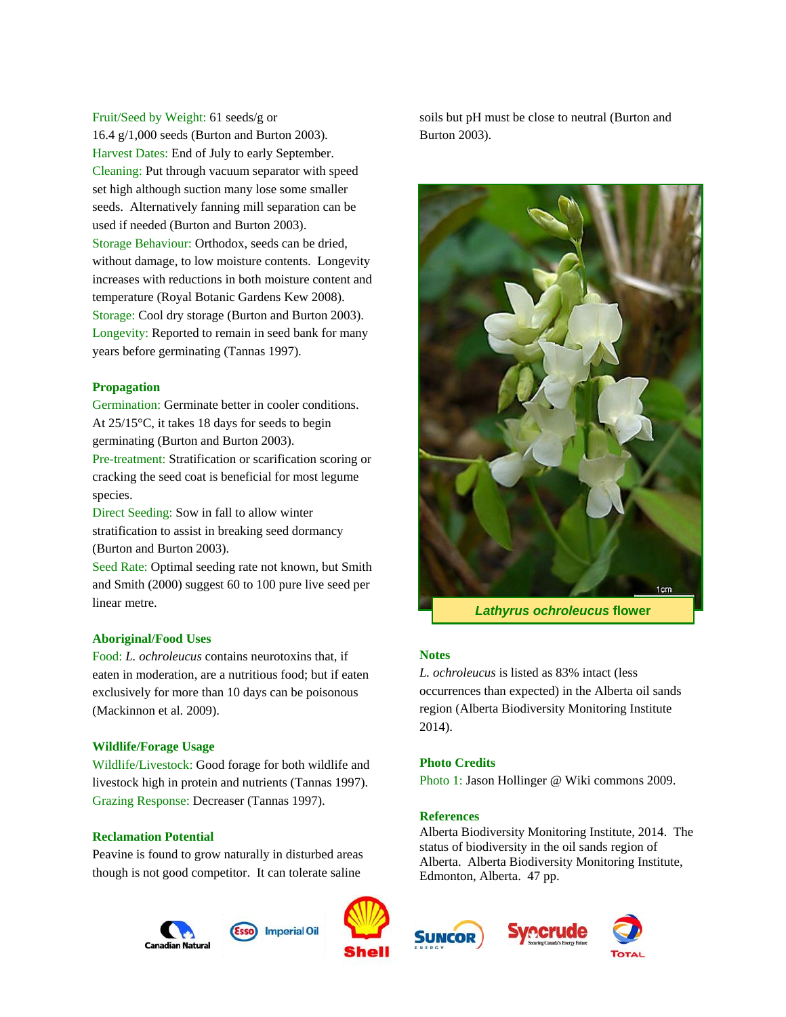Fruit/Seed by Weight: 61 seeds/g or 16.4 g/1,000 seeds (Burton and Burton 2003). Harvest Dates: End of July to early September. Cleaning: Put through vacuum separator with speed set high although suction many lose some smaller seeds. Alternatively fanning mill separation can be used if needed (Burton and Burton 2003). Storage Behaviour: Orthodox, seeds can be dried, without damage, to low moisture contents. Longevity increases with reductions in both moisture content and temperature (Royal Botanic Gardens Kew 2008). Storage: Cool dry storage (Burton and Burton 2003). Longevity: Reported to remain in seed bank for many years before germinating (Tannas 1997).

#### **Propagation**

Germination: Germinate better in cooler conditions. At 25/15°C, it takes 18 days for seeds to begin germinating (Burton and Burton 2003). Pre-treatment: Stratification or scarification scoring or

cracking the seed coat is beneficial for most legume species.

Direct Seeding: Sow in fall to allow winter stratification to assist in breaking seed dormancy (Burton and Burton 2003).

Seed Rate: Optimal seeding rate not known, but Smith and Smith (2000) suggest 60 to 100 pure live seed per linear metre.

#### **Aboriginal/Food Uses**

Food: *L. ochroleucus* contains neurotoxins that, if eaten in moderation, are a nutritious food; but if eaten exclusively for more than 10 days can be poisonous (Mackinnon et al. 2009).

#### **Wildlife/Forage Usage**

Wildlife/Livestock: Good forage for both wildlife and livestock high in protein and nutrients (Tannas 1997). Grazing Response: Decreaser (Tannas 1997).

#### **Reclamation Potential**

Peavine is found to grow naturally in disturbed areas though is not good competitor. It can tolerate saline







soils but pH must be close to neutral (Burton and Burton 2003).



*Lathyrus ochroleucus* **flower**

#### **Notes**

*L. ochroleucus* is listed as 83% intact (less occurrences than expected) in the Alberta oil sands region (Alberta Biodiversity Monitoring Institute 2014).

#### **Photo Credits**

Photo 1: Jason Hollinger @ Wiki commons 2009.

#### **References**

Alberta Biodiversity Monitoring Institute, 2014. The status of biodiversity in the oil sands region of Alberta. Alberta Biodiversity Monitoring Institute, Edmonton, Alberta. 47 pp.